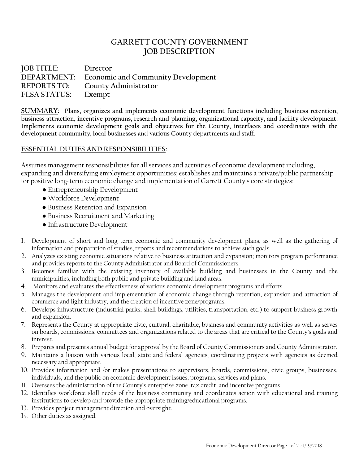# **GARRETT COUNTY GOVERNMENT JOB DESCRIPTION**

**JOB TITLE: Director DEPARTMENT: Economic and Community Development REPORTS TO: County Administrator FLSA STATUS: Exempt**

**SUMMARY: Plans, organizes and implements economic development functions including business retention, business attraction, incentive programs, research and planning, organizational capacity, and facility development. Implements economic development goals and objectives for the County, interfaces and coordinates with the development community, local businesses and various County departments and staff.**

# **ESSENTIAL DUTIES AND RESPONSIBILITIES:**

Assumes management responsibilities for all services and activities of economic development including, expanding and diversifying employment opportunities; establishes and maintains a private/public partnership for positive long-term economic change and implementation of Garrett County's core strategies:

- Entrepreneurship Development
- Workforce Development
- Business Retention and Expansion
- Business Recruitment and Marketing
- Infrastructure Development
- 1. Development of short and long term economic and community development plans, as well as the gathering of information and preparation of studies, reports and recommendations to achieve such goals.
- 2. Analyzes existing economic situations relative to business attraction and expansion; monitors program performance and provides reports to the County Administrator and Board of Commissioners.
- 3. Becomes familiar with the existing inventory of available building and businesses in the County and the municipalities, including both public and private building and land areas.
- 4. Monitors and evaluates the effectiveness of various economic development programs and efforts.
- 5. Manages the development and implementation of economic change through retention, expansion and attraction of commerce and light industry, and the creation of incentive zone/programs.
- 6. Develops infrastructure (industrial parks, shell buildings, utilities, transportation, etc.) to support business growth and expansion.
- 7. Represents the County at appropriate civic, cultural, charitable, business and community activities as well as serves on boards, commissions, committees and organizations related to the areas that are critical to the County's goals and interest.
- 8. Prepares and presents annual budget for approval by the Board of County Commissioners and County Administrator.
- 9. Maintains a liaison with various local, state and federal agencies, coordinating projects with agencies as deemed necessary and appropriate.
- 10. Provides information and /or makes presentations to supervisors, boards, commissions, civic groups, businesses, individuals, and the public on economic development issues, programs, services and plans.
- 11. Oversees the administration of the County's enterprise zone, tax credit, and incentive programs.
- 12. Identifies workforce skill needs of the business community and coordinates action with educational and training institutions to develop and provide the appropriate training/educational programs.
- 13. Provides project management direction and oversight.
- 14. Other duties as assigned.